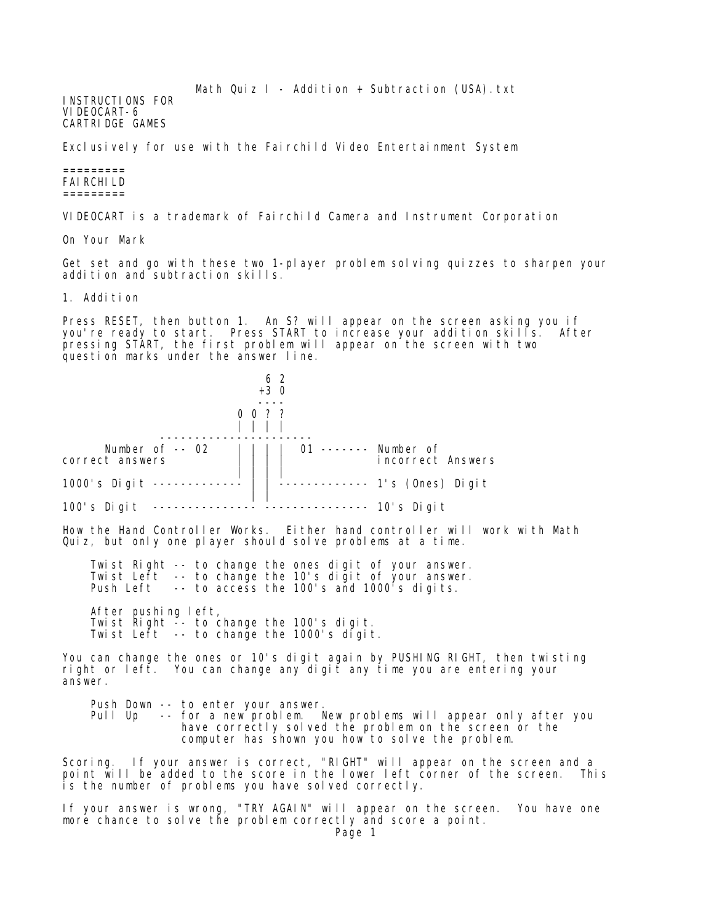Math Quiz  $I -$  Addition + Subtraction (USA).txt

INSTRUCTIONS FOR VIDEOCART-6 CARTRIDGE GAMES

Exclusively for use with the Fairchild Video Entertainment System

## ========= FAIRCHILD =========

VIDEOCART is a trademark of Fairchild Camera and Instrument Corporation

On Your Mark

Get set and go with these two 1-player problem solving quizzes to sharpen your addition and subtraction skills.

1. Addition

Press RESET, then button 1. An S? will appear on the screen asking you if you're ready to start. Press START to increase your addition skills. After pressing START, the first problem will appear on the screen with two question marks under the answer line.



Scoring. If your answer is correct, "RIGHT" will appear on the screen and a point will be added to the score in the lower left corner of the screen. This is the number of problems you have solved correctly.

If your answer is wrong, "TRY AGAIN" will appear on the screen. You have one more chance to solve the problem correctly and score a point.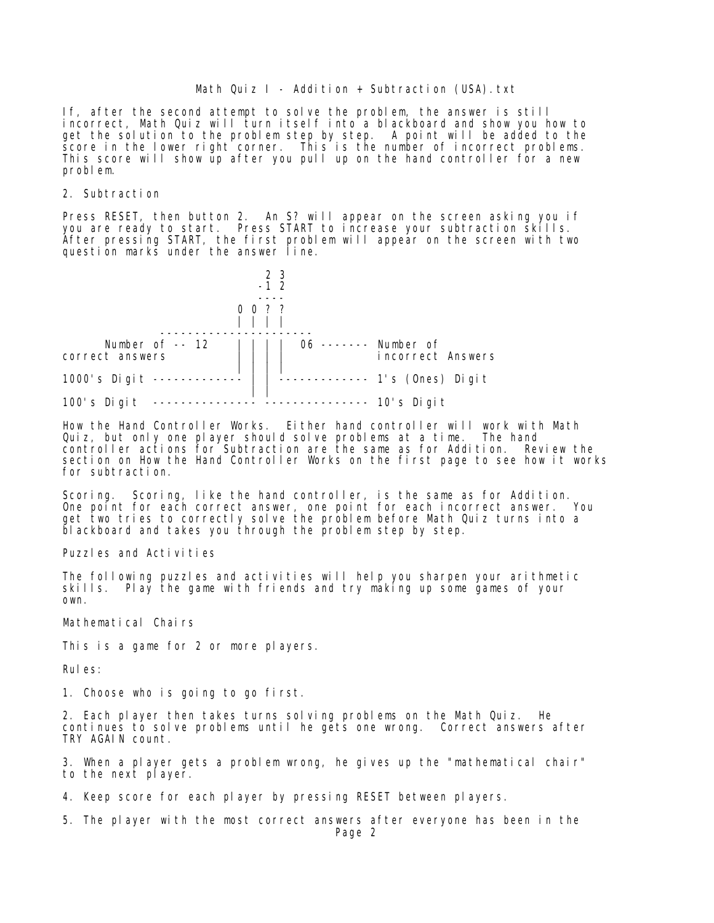## Math Quiz I - Addition + Subtraction (USA).txt

If, after the second attempt to solve the problem, the answer is still incorrect, Math Quiz will turn itself into a blackboard and show you how to get the solution to the problem step by step. A point will be added to the score in the lower right corner. This is the number of incorrect problems. This score will show up after you pull up on the hand controller for a new problem.

## 2. Subtraction

Press RESET, then button 2. An S? will appear on the screen asking you if you are ready to start. Press START to increase your subtraction skills. After pressing START, the first problem will appear on the screen with two question marks under the answer line.



How the Hand Controller Works. Either hand controller will work with Math Quiz, but only one player should solve problems at a time. The hand controller actions for Subtraction are the same as for Addition. Review the section on How the Hand Controller Works on the first page to see how it works for subtraction.

Scoring. Scoring, like the hand controller, is the same as for Addition. One point for each correct answer, one point for each incorrect answer. You get two tries to correctly solve the problem before Math Quiz turns into a blackboard and takes you through the problem step by step.

Puzzles and Activities

The following puzzles and activities will help you sharpen your arithmetic skills. Play the game with friends and try making up some games of your own.

Mathematical Chairs

This is a game for 2 or more players.

Rules:

1. Choose who is going to go first.

2. Each player then takes turns solving problems on the Math Quiz. He continues to solve problems until he gets one wrong. Correct answers after TRY AGAIN count.

3. When a player gets a problem wrong, he gives up the "mathematical chair" to the next player.

4. Keep score for each player by pressing RESET between players.

5. The player with the most correct answers after everyone has been in the Page 2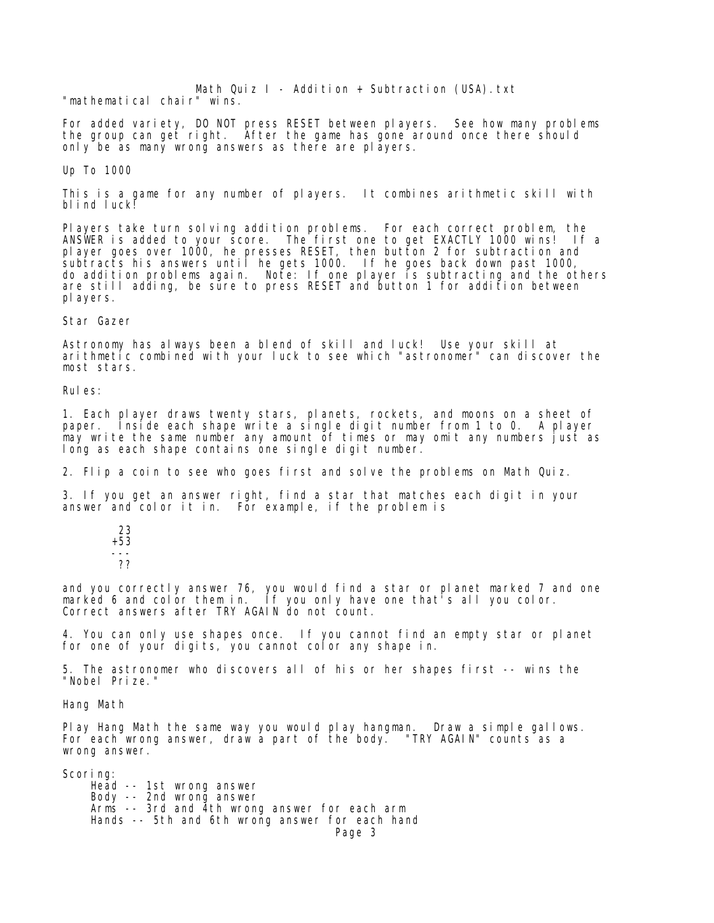Math Quiz  $I -$  Addition + Subtraction (USA).txt "mathematical chair" wins.

For added variety, DO NOT press RESET between players. See how many problems the group can get right. After the game has gone around once there should only be as many wrong answers as there are players.

## Up To 1000

This is a game for any number of players. It combines arithmetic skill with blind luck!

Players take turn solving addition problems. For each correct problem, the ANSWER is added to your score. The first one to get EXACTLY 1000 wins! If a player goes over 1000, he presses RESET, then button 2 for subtraction and subtracts his answers until he gets 1000. If he goes back down past 1000, do addition problems again. Note: If one player is subtracting and the others are still adding, be sure to press RESET and button 1 for addition between players.

Star Gazer

Astronomy has always been a blend of skill and luck! Use your skill at arithmetic combined with your luck to see which "astronomer" can discover the most stars.

Rules:

1. Each player draws twenty stars, planets, rockets, and moons on a sheet of paper. Inside each shape write a single digit number from 1 to 0. A player may write the same number any amount of times or may omit any numbers just as long as each shape contains one single digit number.

2. Flip a coin to see who goes first and solve the problems on Math Quiz.

3. If you get an answer right, find a star that matches each digit in your answer and color it in. For example, if the problem is

 23 +53 --- ??

and you correctly answer 76, you would find a star or planet marked 7 and one marked 6 and color them in. If you only have one that's all you color. Correct answers after TRY AGAIN do not count.

4. You can only use shapes once. If you cannot find an empty star or planet for one of your digits, you cannot color any shape in.

5. The astronomer who discovers all of his or her shapes first -- wins the "Nobel Prize."

Hang Math

Play Hang Math the same way you would play hangman. Draw a simple gallows. For each wrong answer, draw a part of the body. "TRY AGAIN" counts as a wrong answer.

Scoring: Head -- 1st wrong answer Body -- 2nd wrong answer Arms -- 3rd and 4th wrong answer for each arm Hands -- 5th and 6th wrong answer for each hand Page 3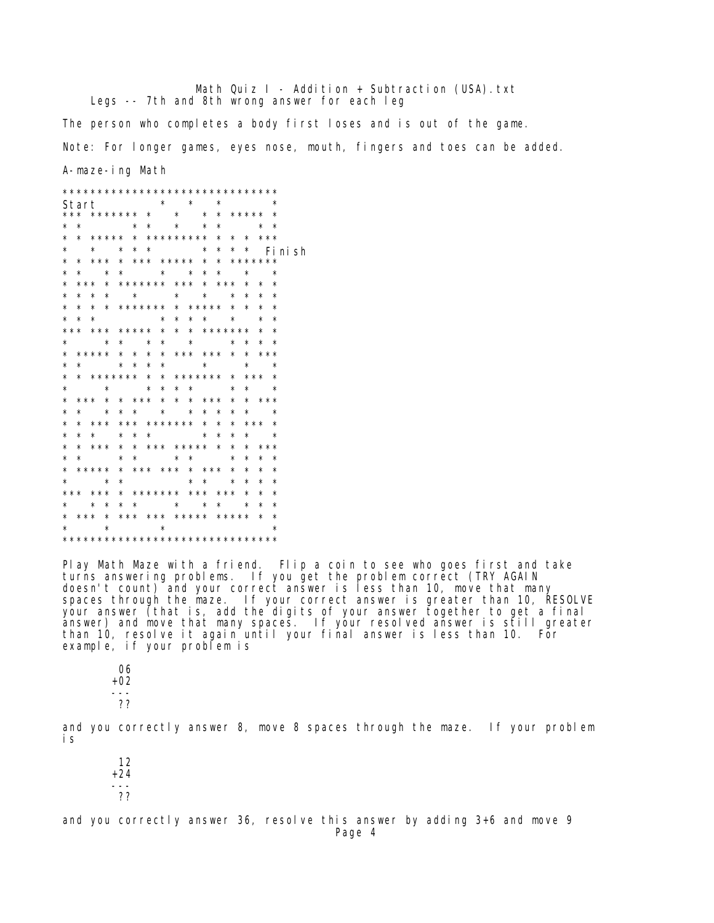Math Quiz I - Addition + Subtraction (USA). txt Legs -- 7th and 8th wrong answer for each leg

The person who completes a body first loses and is out of the game.

Note: For longer games, eyes nose, mouth, fingers and toes can be added.

A-maze-ing Math

|          | ******************************* |          |         |         |                         |         |  |  |         |                               |  |  |  |                 |         |          |                         |         |          |                 |          |  |
|----------|---------------------------------|----------|---------|---------|-------------------------|---------|--|--|---------|-------------------------------|--|--|--|-----------------|---------|----------|-------------------------|---------|----------|-----------------|----------|--|
|          | Start                           |          |         |         |                         |         |  |  |         | $\star$ $\star$               |  |  |  |                 | $\star$ |          | $\star$ $\star$         |         |          |                 |          |  |
|          | *** ******* * * * * ***** *     |          |         |         |                         |         |  |  |         |                               |  |  |  |                 |         |          |                         |         |          |                 |          |  |
| *        |                                 | $\star$  |         |         |                         |         |  |  |         | * * * *                       |  |  |  |                 | $\star$ |          | $\star$ $\star$         |         |          |                 |          |  |
| $^\star$ |                                 |          |         |         |                         |         |  |  |         | * ***** * ********* * * * *** |  |  |  |                 |         |          |                         |         |          |                 |          |  |
| $^\star$ |                                 |          |         |         |                         |         |  |  |         | * * * * * * * * * *           |  |  |  |                 |         |          |                         |         |          |                 | Fi ni sh |  |
| $^\star$ |                                 | $\star$  |         |         |                         |         |  |  |         | *** * *** ***** * * *******   |  |  |  |                 |         |          |                         |         |          |                 |          |  |
| $^\star$ |                                 |          |         |         |                         |         |  |  |         | * * * * * * *                 |  |  |  |                 |         |          | $\star$ $\star$ $\star$ |         |          |                 |          |  |
| $^\star$ |                                 |          |         |         |                         |         |  |  |         | *** * ******* *** * *** * *   |  |  |  |                 |         |          |                         |         |          |                 | $\star$  |  |
| $^\star$ |                                 | $\star$  |         |         |                         |         |  |  |         | * * * * * *                   |  |  |  |                 |         |          | $\star$                 |         | $\star$  |                 | $\star$  |  |
| *        |                                 | $^\star$ |         |         |                         |         |  |  |         | * * ******* * ***** * *       |  |  |  |                 |         |          |                         |         | $\star$  |                 | $\star$  |  |
| $^\star$ |                                 | $\star$  |         | $\star$ |                         |         |  |  |         | * * * * *                     |  |  |  |                 |         |          |                         |         | $\star$  |                 | $\star$  |  |
|          | *** *** ***** * * * *******     |          |         |         |                         |         |  |  |         |                               |  |  |  |                 |         |          |                         | $\star$ |          |                 | $\star$  |  |
| $\star$  |                                 |          |         |         | $\star$ $\star$ $\star$ |         |  |  |         | $\star$                       |  |  |  | $\star$ $\star$ |         |          | $\star$                 |         | $\star$  |                 | $\star$  |  |
|          | * ***** * * * * *** *** * * *** |          |         |         |                         |         |  |  |         |                               |  |  |  |                 |         |          |                         |         |          |                 |          |  |
| $^\star$ |                                 | $\star$  |         |         |                         |         |  |  |         | * * * * *                     |  |  |  | $\star$ $\star$ |         |          | $\star$ $\star$         |         |          |                 |          |  |
| $^\star$ |                                 |          |         |         |                         |         |  |  |         | * ******* * * ******* *       |  |  |  |                 |         |          | *** *                   |         |          |                 |          |  |
| $^\star$ |                                 |          |         | $\star$ |                         |         |  |  |         | * * * * * *                   |  |  |  |                 |         |          |                         |         |          | $\star$ $\star$ |          |  |
| $^\star$ |                                 |          |         |         |                         |         |  |  |         | *** * * *** * * * *** *       |  |  |  |                 |         |          | * ***                   |         |          |                 |          |  |
| $^\star$ |                                 | $^\star$ |         | $\star$ |                         |         |  |  |         | * * * * * *                   |  |  |  |                 |         | $^\star$ |                         |         |          | $\star$ $\star$ |          |  |
| $^\star$ |                                 | $\star$  |         |         |                         |         |  |  |         | *** *** ******* * *           |  |  |  |                 |         | $\star$  |                         |         |          | *** *           |          |  |
| $^\star$ |                                 | $\star$  | $\star$ |         |                         |         |  |  |         | $\star$ $\star$ $\star$       |  |  |  |                 | $\star$ | $^\star$ |                         |         |          | $\star$ $\star$ |          |  |
| $^\star$ |                                 |          |         |         |                         |         |  |  |         | * *** * * *** ***** * *       |  |  |  |                 |         |          | $\star$                 |         |          | ***             |          |  |
| $^\star$ |                                 | $\star$  |         |         | $\star$                 |         |  |  |         | $\star$ $\star$ $\star$       |  |  |  |                 |         | $^\star$ | $^\star$                |         | $^\star$ |                 | $\star$  |  |
|          | * ***** * *** *** * *** *       |          |         |         |                         |         |  |  |         |                               |  |  |  |                 |         |          | $^\star$                |         | $^\star$ |                 | ∗        |  |
| $^\star$ |                                 |          |         | $\star$ |                         | $\star$ |  |  |         |                               |  |  |  | * * *           |         |          | $^\star$                |         | $^\star$ |                 | ∗        |  |
|          | *** *** * ******* *** *** *     |          |         |         |                         |         |  |  |         |                               |  |  |  |                 |         |          |                         |         | $^\star$ |                 | $\star$  |  |
| $^\star$ |                                 |          |         |         |                         |         |  |  |         | * * * * * * * * *             |  |  |  |                 |         |          |                         |         | $\star$  |                 | $\star$  |  |
|          | * *** * *** *** ***** ***** *   |          |         |         |                         |         |  |  |         |                               |  |  |  |                 |         |          |                         |         |          |                 | $\star$  |  |
| $\star$  |                                 |          |         | $\star$ |                         |         |  |  | $\star$ |                               |  |  |  |                 |         |          |                         |         |          |                 | $\star$  |  |
|          |                                 |          |         |         |                         |         |  |  |         |                               |  |  |  |                 |         |          |                         |         |          |                 |          |  |
|          |                                 |          |         |         |                         |         |  |  |         |                               |  |  |  |                 |         |          |                         |         |          |                 |          |  |

Play Math Maze with a friend. Flip a coin to see who goes first and take turns answering problems. If you get the problem correct (TRY AGAIN doesn't count) and your correct answer is less than 10, move that many<br>spaces through the maze. If your correct answer is greater than 10, RESOLVE<br>your answer (that is, add the digits of your answer together to get a final than 10, resolve it again until your final answer is less than 10. For example, if your problem is

06  $+02$  $- - -$ ??

and you correctly answer 8, move 8 spaces through the maze. If your problem i s

 $12$  $+24$  $- - -$ ??

and you correctly answer  $36$ , resolve this answer by adding  $3+6$  and move 9 Page 4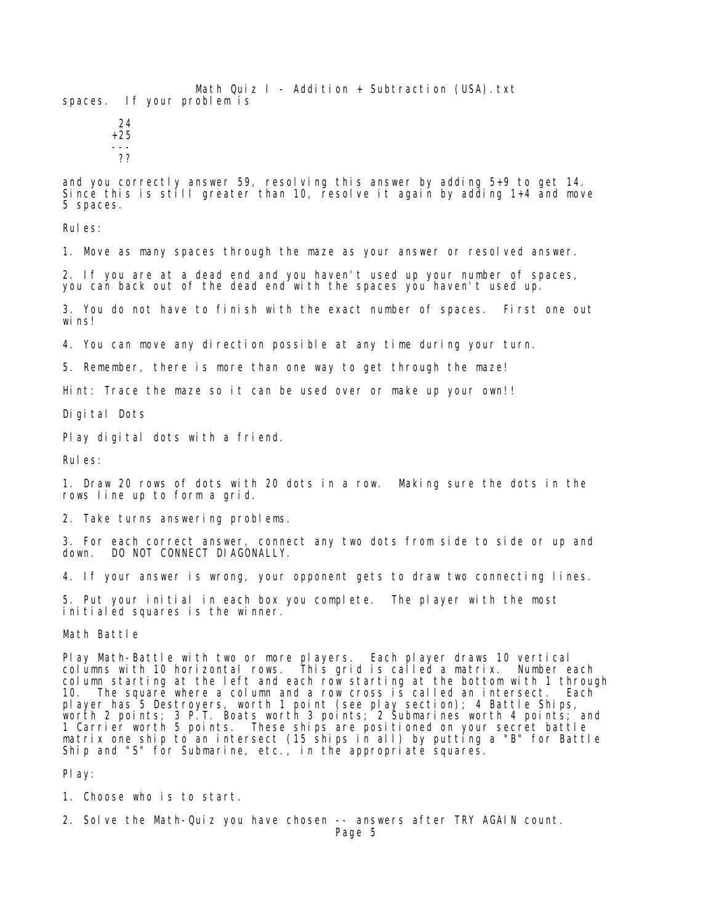Math Quiz  $I -$  Addition + Subtraction (USA).txt spaces. If your problem is

 24 +25 --- ??

and you correctly answer 59, resolving this answer by adding 5+9 to get 14. Since this is still greater than 10, resolve it again by adding  $1+4$  and move 5 spaces.

Rules:

1. Move as many spaces through the maze as your answer or resolved answer.

2. If you are at a dead end and you haven't used up your number of spaces, you can back out of the dead end with the spaces you haven't used up.

3. You do not have to finish with the exact number of spaces. First one out wins!

4. You can move any direction possible at any time during your turn.

5. Remember, there is more than one way to get through the maze!

Hint: Trace the maze so it can be used over or make up your own!!

Digital Dots

Play digital dots with a friend.

Rules:

1. Draw 20 rows of dots with 20 dots in a row. Making sure the dots in the rows line up to form a grid.

2. Take turns answering problems.

3. For each correct answer, connect any two dots from side to side or up and down. DO NOT CONNECT DIAGONALLY.

4. If your answer is wrong, your opponent gets to draw two connecting lines.

5. Put your initial in each box you complete. The player with the most initialed squares is the winner.

Math Battle

Play Math-Battle with two or more players. Each player draws 10 vertical columns with 10 horizontal rows. This grid is called a matrix. Number each column starting at the left and each row starting at the bottom with 1 through 10. The square where a column and a row cross  $i \leq c$  called an intersect. Each player has 5 Destroyers, worth 1 point (see play section); 4 Battle Ships, worth 2 points; 3 P.T. Boats worth 3 points; 2 Submarines worth 4 points; and 1 Carrier worth 5 points. These ships are positioned on your secret battle matrix one ship to an intersect (15 ships in all) by putting a "B" for Battle Ship and "S" for Submarine, etc., in the appropriate squares.

Play:

1. Choose who is to start.

2. Solve the Math-Quiz you have chosen -- answers after TRY AGAIN count.